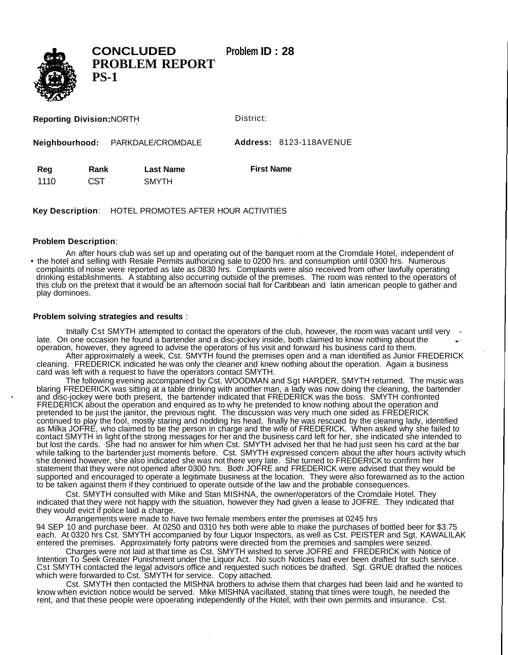

**CONCLUDED Problem ID : 28 PROBLEM REPORT PS-1**

**Reporting Division:** NORTH

District:

**Neighbourhood:** PARKDALE/CROMDALE **Address:** 8123-118AVENUE

| Reg   | Rank       | <b>Last Name</b> | <b>First Name</b> |
|-------|------------|------------------|-------------------|
| -1110 | <b>CST</b> | <b>SMYTH</b>     |                   |

**Key Description**: HOTEL PROMOTES AFTER HOUR ACTIVITIES

## **Problem Description**:

An after hours club was set up and operating out of the banquet room at the Cromdale Hotel, independent of • the hotel and selling with Resale Permits authorizing sale to 0200 hrs. and consumption until 0300 hrs. Numerous complaints of noise were reported as late as 0830 hrs. Complaints were also received from other lawfully operating drinking establishments. A stabbing also occurring outside of the premises. The room was rented to the operators of this club on the pretext that it would be an afternoon social hall for Caribbean and latin american people to gather and play dominoes.

## **Problem solving strategies and results** :

tnitally Cst SMYTH attempted to contact the operators of the club, however, the room was vacant until very late. On one occasion he found a bartender and a disc-jockey inside, both claimed to know nothing about the operation, however, they agreed to advise the operators of his visit and forward his business card to them.

After approximately a week, Cst. SMYTH found the premises open and a man identified as Junior FREDERICK cleaning. FREDERICK indicated he was only the cleaner and knew nothing about the operation. Again a business card was left with a request to have the operators contact SMYTH.

The following evening accompanied by Cst. WOODMAN and Sgt HARDER, SMYTH returned. The music was blaring FREDERICK was sitting at a table drinking with another man, a lady was now doing the cleaning, the bartender and disc-jockey were both present, the bartender indicated that FREDERICK was the boss. SMYTH confronted FREDERICK about the operation and enquired as to why he pretended to know nothing about the operation and pretended to be just the janitor, the previous night. The discussion was very much one sided as FREDERICK continued to play the fool, mostly staring and nodding his head, finally he was rescued by the cleaning lady, identified as Milka JOFRE, who claimed to be the person in charge and the wife of FREDERICK. When asked why she failed to contact SMYTH in light of the strong messages for her and the business card left for her, she indicated she intended to but lost the cards. She had no answer for him when Cst. SMYTH advised her that he had just seen his card at the bar while talking to the bartender just moments before. Cst. SMYTH expressed concern about the after hours activity which she denied however, she also indicated she was not there very late. She turned to FREDERICK to confirm her statement that they were not opened after 0300 hrs. Both JOFRE and FREDERICK were advised that they would be supported and encouraged to operate a legitimate business at the location. They were also forewarned as to the action to be taken against them if they continued to operate outside of the law and the probable consequences.

Cst. SMYTH consulted with Mike and Stan MISHNA, the owner/operators of the Cromdale Hotel. They indicated that they were not happy with the situation, however they had given a lease to JOFRE. They indicated that they would evict if police laid a charge.

Arrangements were made to have two female members enter the premises at 0245 hrs 94 SEP 10 and purchase beer. At 0250 and 0310 hrs both were able to make the purchases of bottled beer for \$3.75 each. At 0320 hrs Cst. SMYTH accompanied by four Liquor Inspectors, as well as Cst. PEISTER and Sgt. KAWALILAK entered the premises. Approximately forty patrons were directed from the premises and samples were seized.

Charges were not laid at that time as Cst. SMYTH wished to serve JOFRE and FREDERICK with Notice of Intention To Seek Greater Punishment under the Liquor Act. No such Notices had ever been drafted for such service. Cst SMYTH contacted the legal advisors office and requested such notices be drafted. Sgt. GRUE drafted the notices which were forwarded to Cst. SMYTH for service. Copy attached.

Cst. SMYTH then contacted the MISHNA brothers to advise them that charges had been laid and he wanted to know when eviction notice would be served. Mike MISHNA vacillated, stating that times were tough, he needed the rent, and that these people were opoerating independently of the Hotel, with their own permits and insurance. Cst.